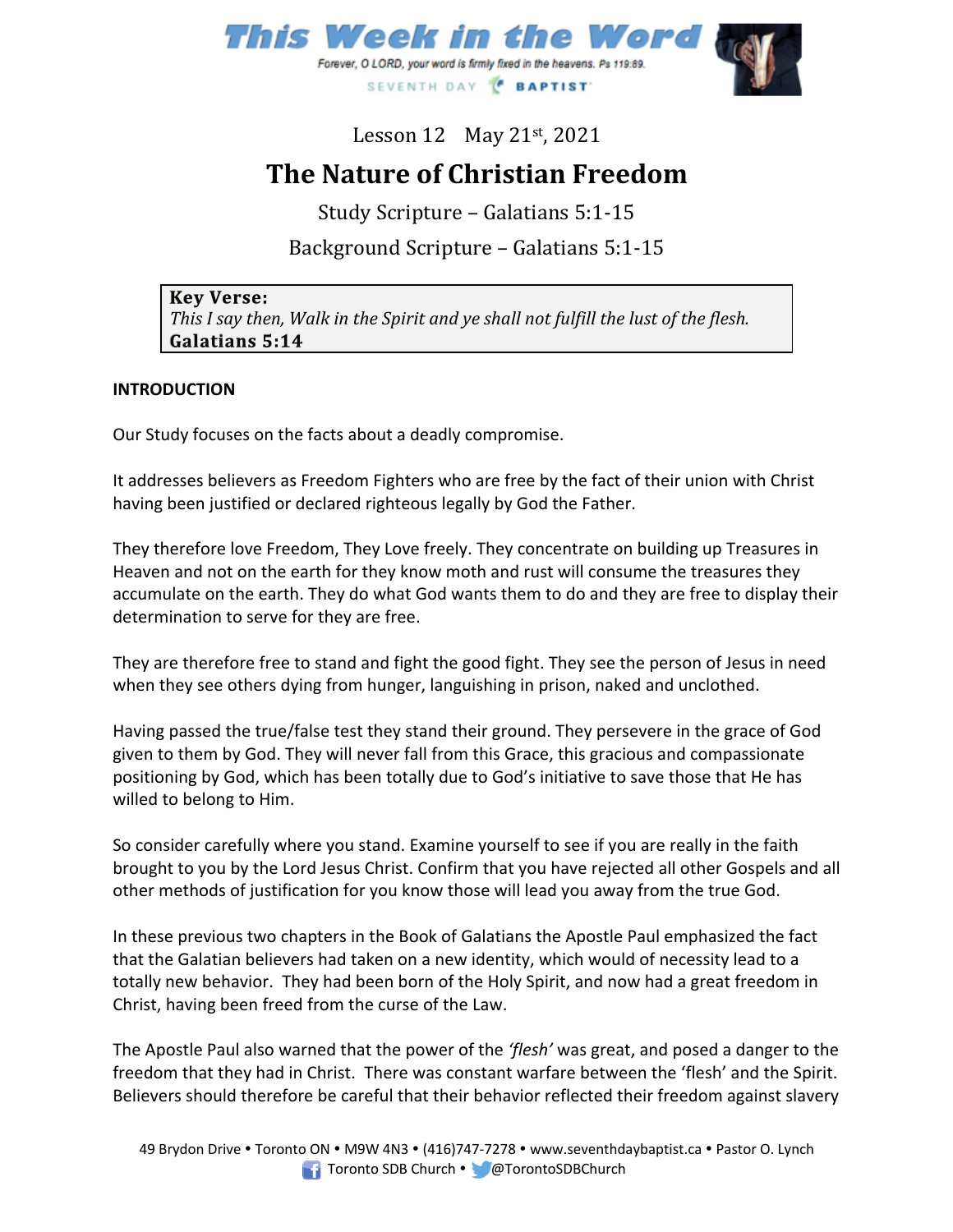

Lesson  $12$  May  $21$ <sup>st</sup>,  $2021$ 

# **The Nature of Christian Freedom**

Study Scripture – Galatians 5:1-15

# Background Scripture – Galatians 5:1-15

| <b>Key Verse:</b>                                                                          |
|--------------------------------------------------------------------------------------------|
| $\mid$ This I say then, Walk in the Spirit and ye shall not fulfill the lust of the flesh. |
| Galatians 5:14                                                                             |

#### **INTRODUCTION**

Our Study focuses on the facts about a deadly compromise.

It addresses believers as Freedom Fighters who are free by the fact of their union with Christ having been justified or declared righteous legally by God the Father.

They therefore love Freedom, They Love freely. They concentrate on building up Treasures in Heaven and not on the earth for they know moth and rust will consume the treasures they accumulate on the earth. They do what God wants them to do and they are free to display their determination to serve for they are free.

They are therefore free to stand and fight the good fight. They see the person of Jesus in need when they see others dying from hunger, languishing in prison, naked and unclothed.

Having passed the true/false test they stand their ground. They persevere in the grace of God given to them by God. They will never fall from this Grace, this gracious and compassionate positioning by God, which has been totally due to God's initiative to save those that He has willed to belong to Him.

So consider carefully where you stand. Examine yourself to see if you are really in the faith brought to you by the Lord Jesus Christ. Confirm that you have rejected all other Gospels and all other methods of justification for you know those will lead you away from the true God.

In these previous two chapters in the Book of Galatians the Apostle Paul emphasized the fact that the Galatian believers had taken on a new identity, which would of necessity lead to a totally new behavior. They had been born of the Holy Spirit, and now had a great freedom in Christ, having been freed from the curse of the Law.

The Apostle Paul also warned that the power of the *'flesh'* was great, and posed a danger to the freedom that they had in Christ. There was constant warfare between the 'flesh' and the Spirit. Believers should therefore be careful that their behavior reflected their freedom against slavery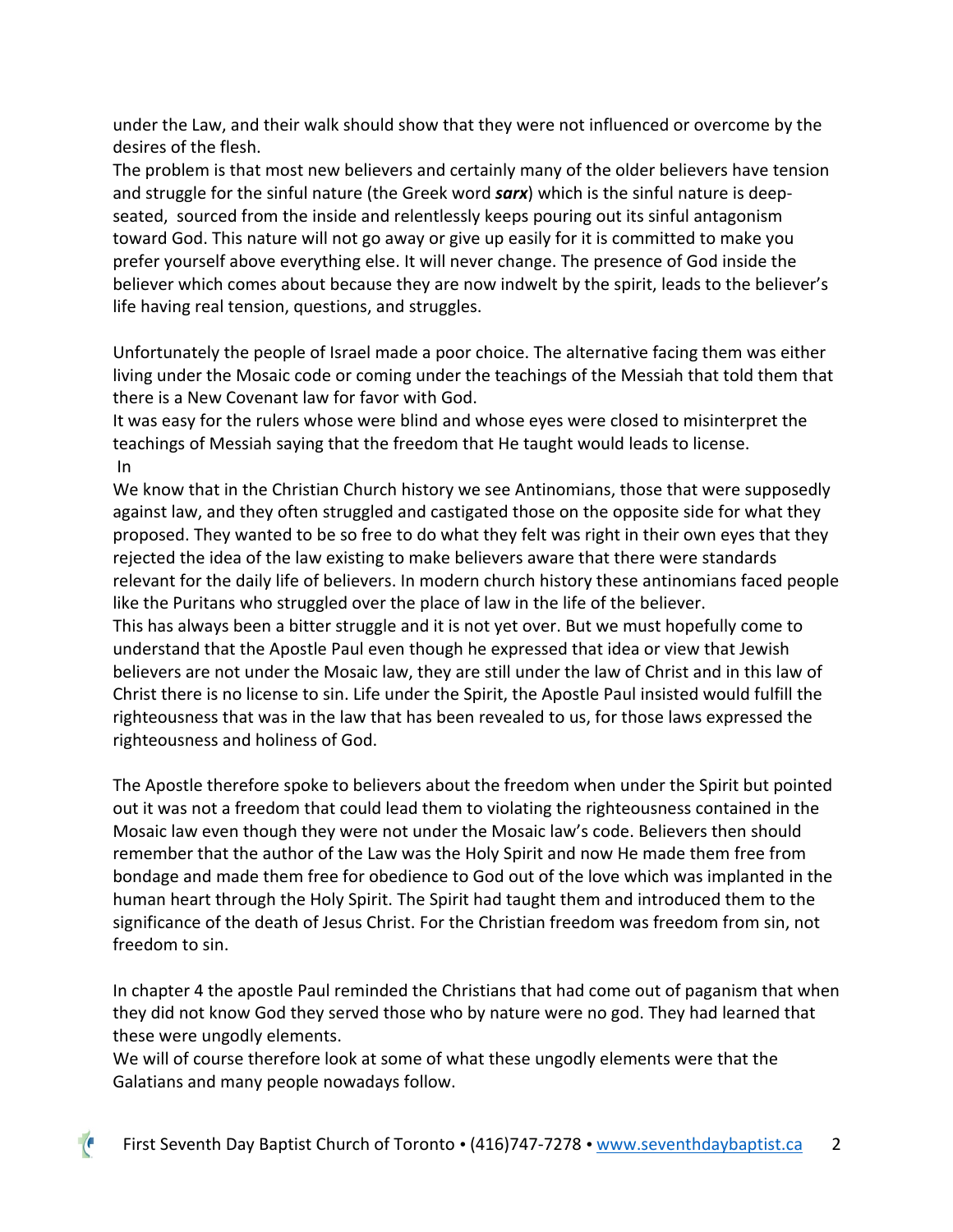under the Law, and their walk should show that they were not influenced or overcome by the desires of the flesh.

The problem is that most new believers and certainly many of the older believers have tension and struggle for the sinful nature (the Greek word *sarx*) which is the sinful nature is deepseated, sourced from the inside and relentlessly keeps pouring out its sinful antagonism toward God. This nature will not go away or give up easily for it is committed to make you prefer yourself above everything else. It will never change. The presence of God inside the believer which comes about because they are now indwelt by the spirit, leads to the believer's life having real tension, questions, and struggles.

Unfortunately the people of Israel made a poor choice. The alternative facing them was either living under the Mosaic code or coming under the teachings of the Messiah that told them that there is a New Covenant law for favor with God.

It was easy for the rulers whose were blind and whose eyes were closed to misinterpret the teachings of Messiah saying that the freedom that He taught would leads to license. In

We know that in the Christian Church history we see Antinomians, those that were supposedly against law, and they often struggled and castigated those on the opposite side for what they proposed. They wanted to be so free to do what they felt was right in their own eyes that they rejected the idea of the law existing to make believers aware that there were standards relevant for the daily life of believers. In modern church history these antinomians faced people like the Puritans who struggled over the place of law in the life of the believer.

This has always been a bitter struggle and it is not yet over. But we must hopefully come to understand that the Apostle Paul even though he expressed that idea or view that Jewish believers are not under the Mosaic law, they are still under the law of Christ and in this law of Christ there is no license to sin. Life under the Spirit, the Apostle Paul insisted would fulfill the righteousness that was in the law that has been revealed to us, for those laws expressed the righteousness and holiness of God.

The Apostle therefore spoke to believers about the freedom when under the Spirit but pointed out it was not a freedom that could lead them to violating the righteousness contained in the Mosaic law even though they were not under the Mosaic law's code. Believers then should remember that the author of the Law was the Holy Spirit and now He made them free from bondage and made them free for obedience to God out of the love which was implanted in the human heart through the Holy Spirit. The Spirit had taught them and introduced them to the significance of the death of Jesus Christ. For the Christian freedom was freedom from sin, not freedom to sin.

In chapter 4 the apostle Paul reminded the Christians that had come out of paganism that when they did not know God they served those who by nature were no god. They had learned that these were ungodly elements.

We will of course therefore look at some of what these ungodly elements were that the Galatians and many people nowadays follow.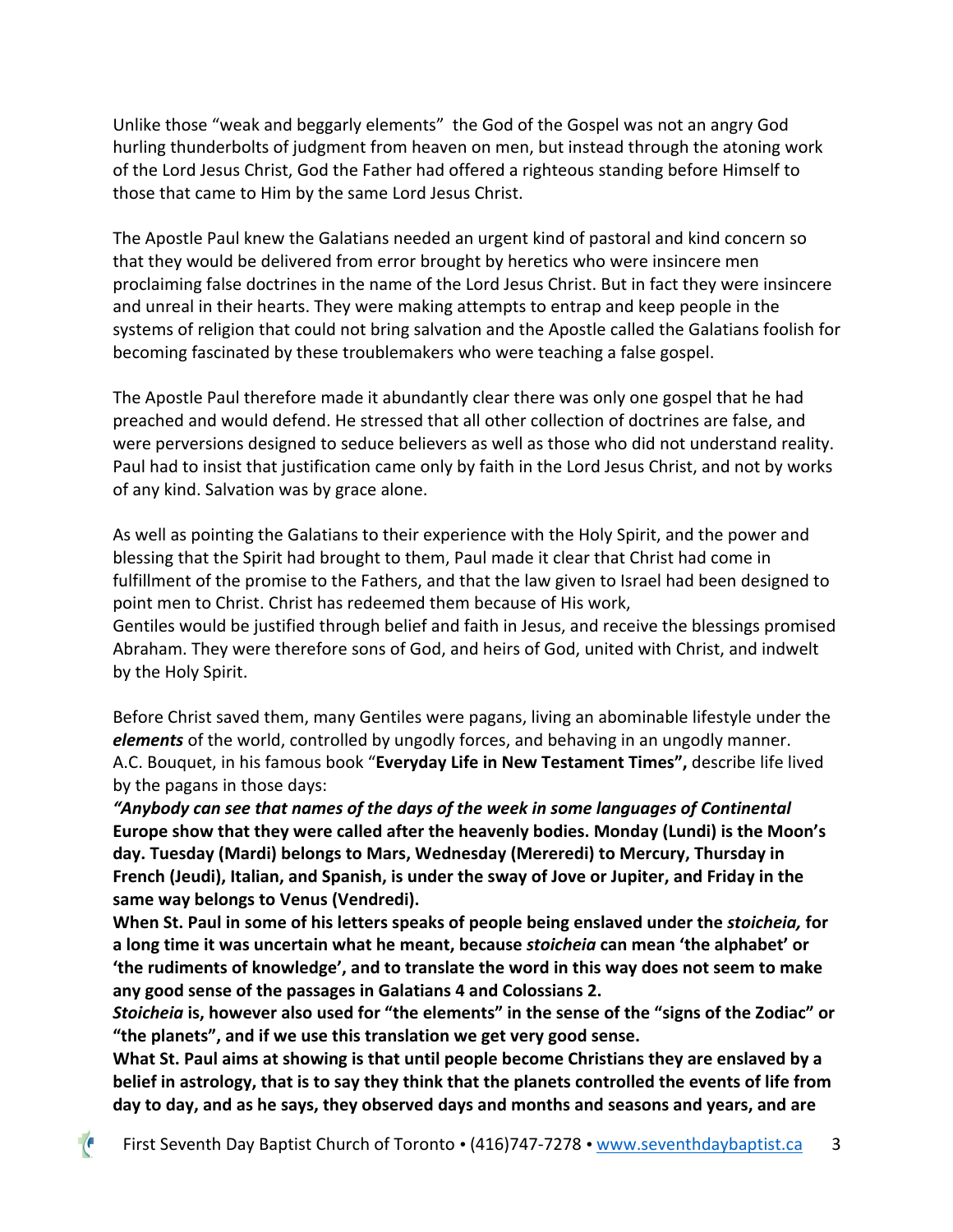Unlike those "weak and beggarly elements" the God of the Gospel was not an angry God hurling thunderbolts of judgment from heaven on men, but instead through the atoning work of the Lord Jesus Christ, God the Father had offered a righteous standing before Himself to those that came to Him by the same Lord Jesus Christ.

The Apostle Paul knew the Galatians needed an urgent kind of pastoral and kind concern so that they would be delivered from error brought by heretics who were insincere men proclaiming false doctrines in the name of the Lord Jesus Christ. But in fact they were insincere and unreal in their hearts. They were making attempts to entrap and keep people in the systems of religion that could not bring salvation and the Apostle called the Galatians foolish for becoming fascinated by these troublemakers who were teaching a false gospel.

The Apostle Paul therefore made it abundantly clear there was only one gospel that he had preached and would defend. He stressed that all other collection of doctrines are false, and were perversions designed to seduce believers as well as those who did not understand reality. Paul had to insist that justification came only by faith in the Lord Jesus Christ, and not by works of any kind. Salvation was by grace alone.

As well as pointing the Galatians to their experience with the Holy Spirit, and the power and blessing that the Spirit had brought to them, Paul made it clear that Christ had come in fulfillment of the promise to the Fathers, and that the law given to Israel had been designed to point men to Christ. Christ has redeemed them because of His work, Gentiles would be justified through belief and faith in Jesus, and receive the blessings promised Abraham. They were therefore sons of God, and heirs of God, united with Christ, and indwelt by the Holy Spirit.

Before Christ saved them, many Gentiles were pagans, living an abominable lifestyle under the *elements* of the world, controlled by ungodly forces, and behaving in an ungodly manner. A.C. Bouquet, in his famous book "**Everyday Life in New Testament Times",** describe life lived by the pagans in those days:

*"Anybody can see that names of the days of the week in some languages of Continental* **Europe show that they were called after the heavenly bodies. Monday (Lundi) is the Moon's day. Tuesday (Mardi) belongs to Mars, Wednesday (Mereredi) to Mercury, Thursday in French (Jeudi), Italian, and Spanish, is under the sway of Jove or Jupiter, and Friday in the same way belongs to Venus (Vendredi).**

**When St. Paul in some of his letters speaks of people being enslaved under the** *stoicheia,* **for a long time it was uncertain what he meant, because** *stoicheia* **can mean 'the alphabet' or 'the rudiments of knowledge', and to translate the word in this way does not seem to make any good sense of the passages in Galatians 4 and Colossians 2.**

*Stoicheia* **is, however also used for "the elements" in the sense of the "signs of the Zodiac" or "the planets", and if we use this translation we get very good sense.**

**What St. Paul aims at showing is that until people become Christians they are enslaved by a belief in astrology, that is to say they think that the planets controlled the events of life from day to day, and as he says, they observed days and months and seasons and years, and are**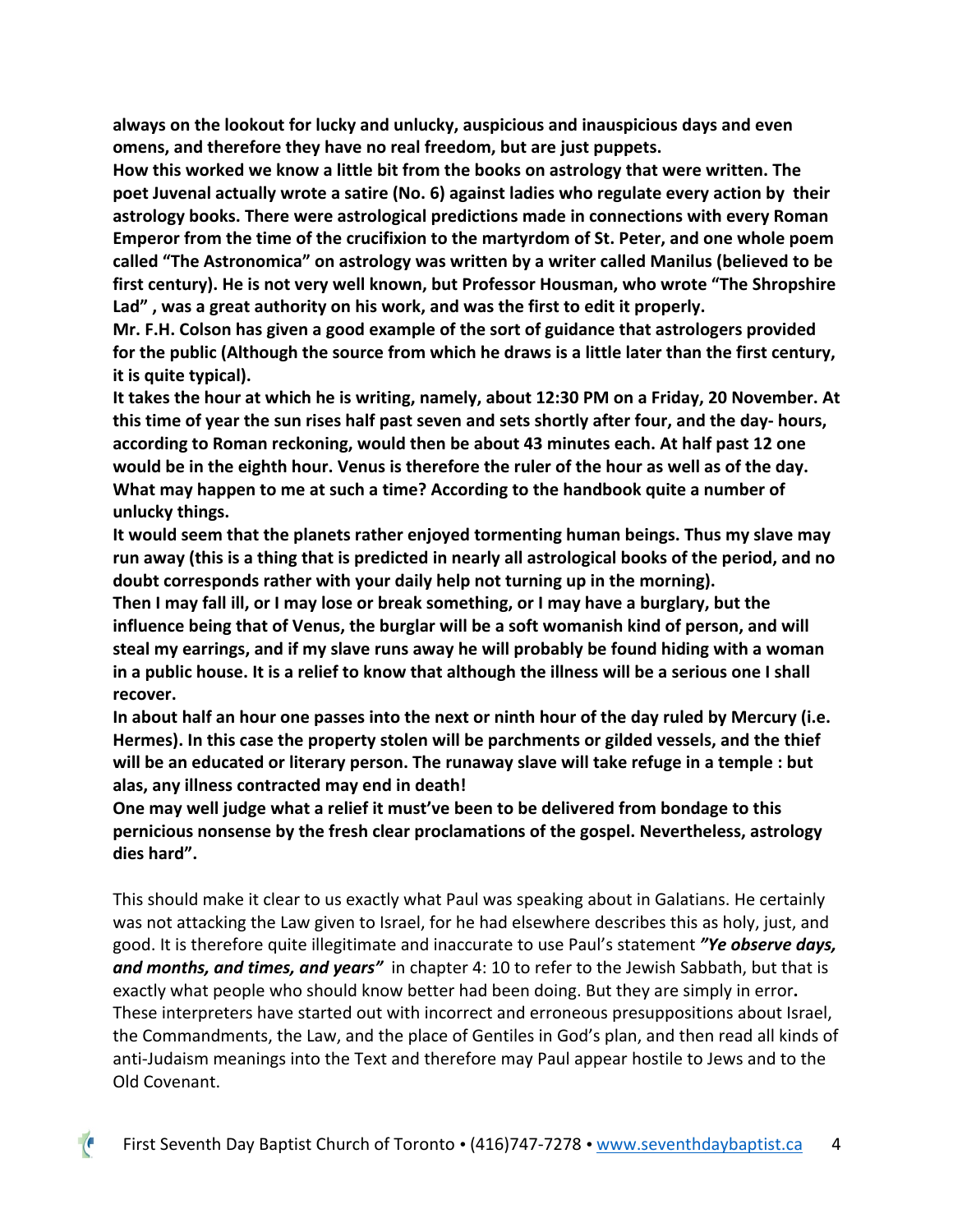**always on the lookout for lucky and unlucky, auspicious and inauspicious days and even omens, and therefore they have no real freedom, but are just puppets.**

**How this worked we know a little bit from the books on astrology that were written. The poet Juvenal actually wrote a satire (No. 6) against ladies who regulate every action by their astrology books. There were astrological predictions made in connections with every Roman Emperor from the time of the crucifixion to the martyrdom of St. Peter, and one whole poem called "The Astronomica" on astrology was written by a writer called Manilus (believed to be first century). He is not very well known, but Professor Housman, who wrote "The Shropshire Lad" , was a great authority on his work, and was the first to edit it properly.**

**Mr. F.H. Colson has given a good example of the sort of guidance that astrologers provided for the public (Although the source from which he draws is a little later than the first century, it is quite typical).**

**It takes the hour at which he is writing, namely, about 12:30 PM on a Friday, 20 November. At this time of year the sun rises half past seven and sets shortly after four, and the day- hours, according to Roman reckoning, would then be about 43 minutes each. At half past 12 one would be in the eighth hour. Venus is therefore the ruler of the hour as well as of the day. What may happen to me at such a time? According to the handbook quite a number of unlucky things.**

**It would seem that the planets rather enjoyed tormenting human beings. Thus my slave may run away (this is a thing that is predicted in nearly all astrological books of the period, and no doubt corresponds rather with your daily help not turning up in the morning).**

**Then I may fall ill, or I may lose or break something, or I may have a burglary, but the influence being that of Venus, the burglar will be a soft womanish kind of person, and will steal my earrings, and if my slave runs away he will probably be found hiding with a woman in a public house. It is a relief to know that although the illness will be a serious one I shall recover.**

**In about half an hour one passes into the next or ninth hour of the day ruled by Mercury (i.e. Hermes). In this case the property stolen will be parchments or gilded vessels, and the thief will be an educated or literary person. The runaway slave will take refuge in a temple : but alas, any illness contracted may end in death!**

**One may well judge what a relief it must've been to be delivered from bondage to this pernicious nonsense by the fresh clear proclamations of the gospel. Nevertheless, astrology dies hard".**

This should make it clear to us exactly what Paul was speaking about in Galatians. He certainly was not attacking the Law given to Israel, for he had elsewhere describes this as holy, just, and good. It is therefore quite illegitimate and inaccurate to use Paul's statement *"Ye observe days, and months, and times, and years"*in chapter 4: 10 to refer to the Jewish Sabbath, but that is exactly what people who should know better had been doing. But they are simply in error**.** These interpreters have started out with incorrect and erroneous presuppositions about Israel, the Commandments, the Law, and the place of Gentiles in God's plan, and then read all kinds of anti-Judaism meanings into the Text and therefore may Paul appear hostile to Jews and to the Old Covenant.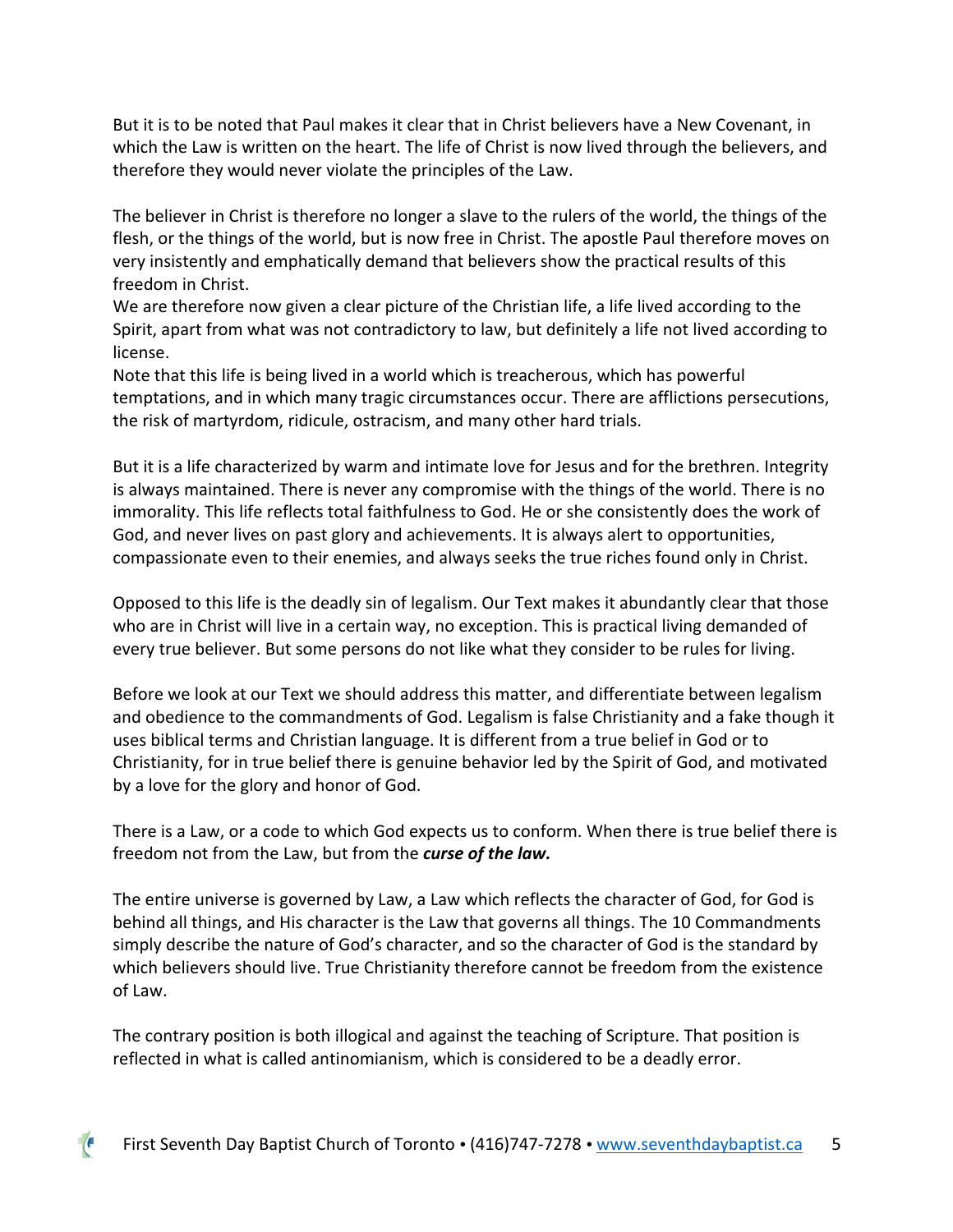But it is to be noted that Paul makes it clear that in Christ believers have a New Covenant, in which the Law is written on the heart. The life of Christ is now lived through the believers, and therefore they would never violate the principles of the Law.

The believer in Christ is therefore no longer a slave to the rulers of the world, the things of the flesh, or the things of the world, but is now free in Christ. The apostle Paul therefore moves on very insistently and emphatically demand that believers show the practical results of this freedom in Christ.

We are therefore now given a clear picture of the Christian life, a life lived according to the Spirit, apart from what was not contradictory to law, but definitely a life not lived according to license.

Note that this life is being lived in a world which is treacherous, which has powerful temptations, and in which many tragic circumstances occur. There are afflictions persecutions, the risk of martyrdom, ridicule, ostracism, and many other hard trials.

But it is a life characterized by warm and intimate love for Jesus and for the brethren. Integrity is always maintained. There is never any compromise with the things of the world. There is no immorality. This life reflects total faithfulness to God. He or she consistently does the work of God, and never lives on past glory and achievements. It is always alert to opportunities, compassionate even to their enemies, and always seeks the true riches found only in Christ.

Opposed to this life is the deadly sin of legalism. Our Text makes it abundantly clear that those who are in Christ will live in a certain way, no exception. This is practical living demanded of every true believer. But some persons do not like what they consider to be rules for living.

Before we look at our Text we should address this matter, and differentiate between legalism and obedience to the commandments of God. Legalism is false Christianity and a fake though it uses biblical terms and Christian language. It is different from a true belief in God or to Christianity, for in true belief there is genuine behavior led by the Spirit of God, and motivated by a love for the glory and honor of God.

There is a Law, or a code to which God expects us to conform. When there is true belief there is freedom not from the Law, but from the *curse of the law.*

The entire universe is governed by Law, a Law which reflects the character of God, for God is behind all things, and His character is the Law that governs all things. The 10 Commandments simply describe the nature of God's character, and so the character of God is the standard by which believers should live. True Christianity therefore cannot be freedom from the existence of Law.

The contrary position is both illogical and against the teaching of Scripture. That position is reflected in what is called antinomianism, which is considered to be a deadly error.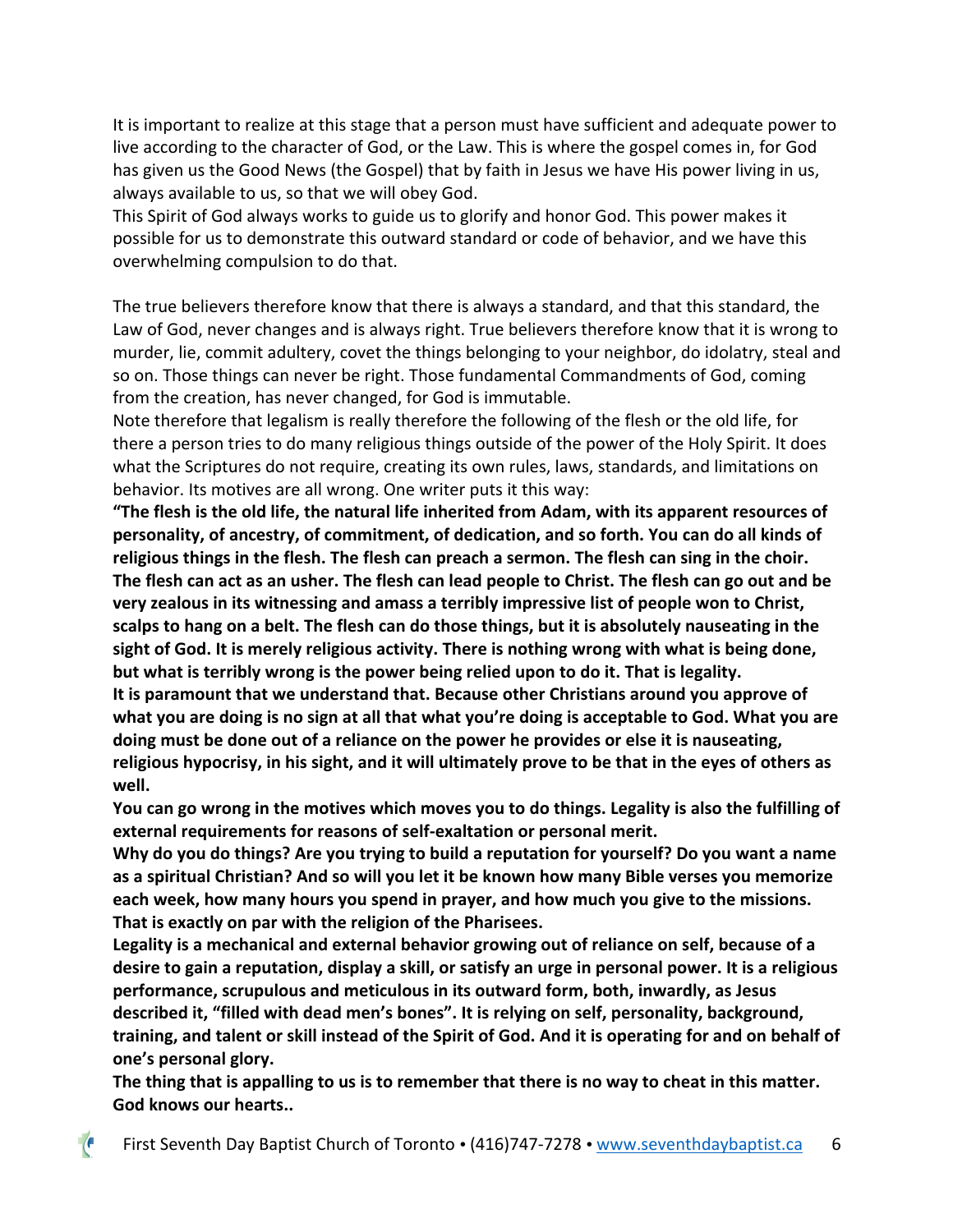It is important to realize at this stage that a person must have sufficient and adequate power to live according to the character of God, or the Law. This is where the gospel comes in, for God has given us the Good News (the Gospel) that by faith in Jesus we have His power living in us, always available to us, so that we will obey God.

This Spirit of God always works to guide us to glorify and honor God. This power makes it possible for us to demonstrate this outward standard or code of behavior, and we have this overwhelming compulsion to do that.

The true believers therefore know that there is always a standard, and that this standard, the Law of God, never changes and is always right. True believers therefore know that it is wrong to murder, lie, commit adultery, covet the things belonging to your neighbor, do idolatry, steal and so on. Those things can never be right. Those fundamental Commandments of God, coming from the creation, has never changed, for God is immutable.

Note therefore that legalism is really therefore the following of the flesh or the old life, for there a person tries to do many religious things outside of the power of the Holy Spirit. It does what the Scriptures do not require, creating its own rules, laws, standards, and limitations on behavior. Its motives are all wrong. One writer puts it this way:

**"The flesh is the old life, the natural life inherited from Adam, with its apparent resources of personality, of ancestry, of commitment, of dedication, and so forth. You can do all kinds of religious things in the flesh. The flesh can preach a sermon. The flesh can sing in the choir. The flesh can act as an usher. The flesh can lead people to Christ. The flesh can go out and be very zealous in its witnessing and amass a terribly impressive list of people won to Christ, scalps to hang on a belt. The flesh can do those things, but it is absolutely nauseating in the sight of God. It is merely religious activity. There is nothing wrong with what is being done, but what is terribly wrong is the power being relied upon to do it. That is legality. It is paramount that we understand that. Because other Christians around you approve of what you are doing is no sign at all that what you're doing is acceptable to God. What you are doing must be done out of a reliance on the power he provides or else it is nauseating, religious hypocrisy, in his sight, and it will ultimately prove to be that in the eyes of others as well.**

**You can go wrong in the motives which moves you to do things. Legality is also the fulfilling of external requirements for reasons of self-exaltation or personal merit.** 

**Why do you do things? Are you trying to build a reputation for yourself? Do you want a name as a spiritual Christian? And so will you let it be known how many Bible verses you memorize each week, how many hours you spend in prayer, and how much you give to the missions. That is exactly on par with the religion of the Pharisees.** 

**Legality is a mechanical and external behavior growing out of reliance on self, because of a desire to gain a reputation, display a skill, or satisfy an urge in personal power. It is a religious performance, scrupulous and meticulous in its outward form, both, inwardly, as Jesus described it, "filled with dead men's bones". It is relying on self, personality, background, training, and talent or skill instead of the Spirit of God. And it is operating for and on behalf of one's personal glory.** 

**The thing that is appalling to us is to remember that there is no way to cheat in this matter. God knows our hearts..**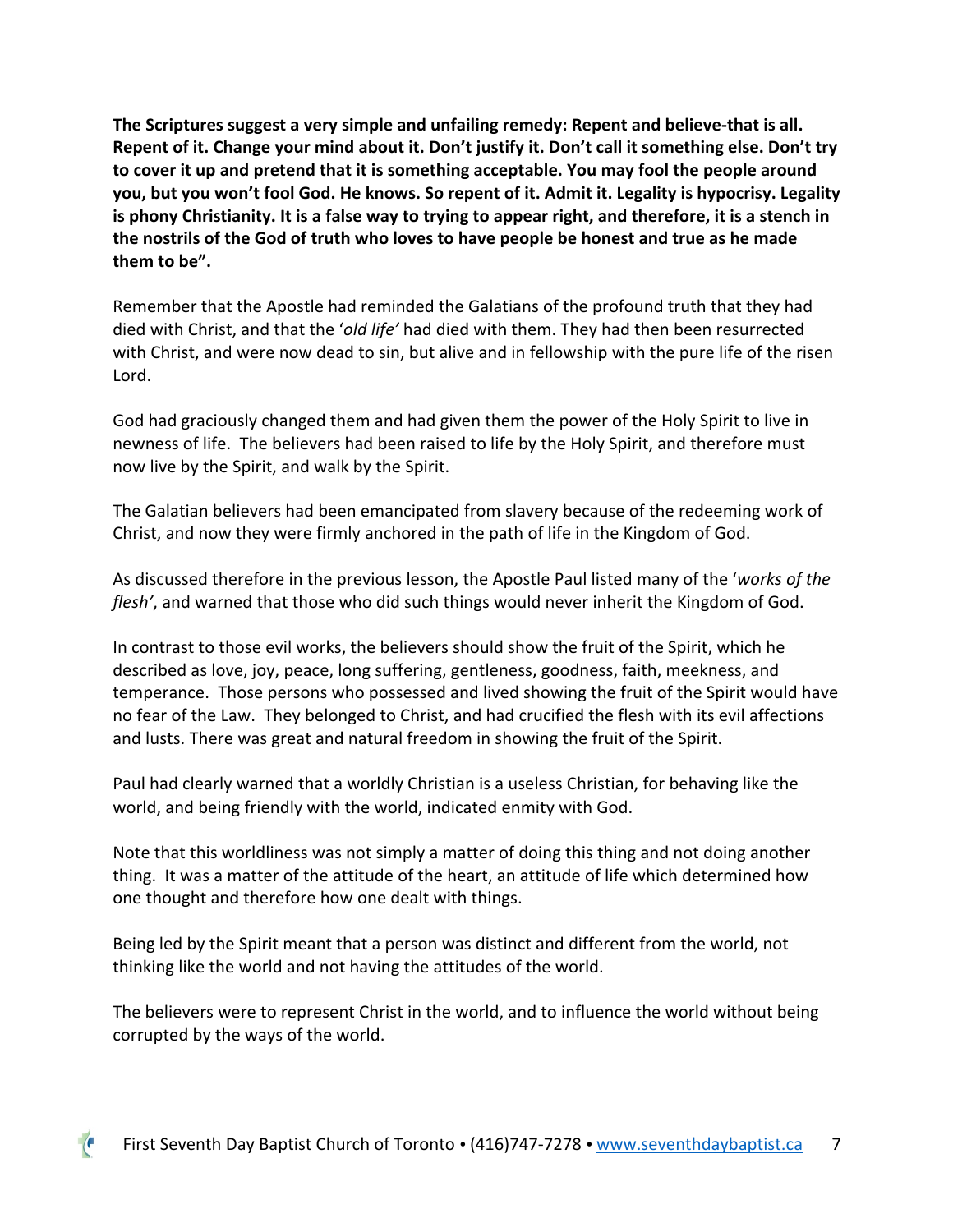**The Scriptures suggest a very simple and unfailing remedy: Repent and believe-that is all. Repent of it. Change your mind about it. Don't justify it. Don't call it something else. Don't try to cover it up and pretend that it is something acceptable. You may fool the people around you, but you won't fool God. He knows. So repent of it. Admit it. Legality is hypocrisy. Legality is phony Christianity. It is a false way to trying to appear right, and therefore, it is a stench in the nostrils of the God of truth who loves to have people be honest and true as he made them to be".**

Remember that the Apostle had reminded the Galatians of the profound truth that they had died with Christ, and that the '*old life'* had died with them. They had then been resurrected with Christ, and were now dead to sin, but alive and in fellowship with the pure life of the risen Lord.

God had graciously changed them and had given them the power of the Holy Spirit to live in newness of life. The believers had been raised to life by the Holy Spirit, and therefore must now live by the Spirit, and walk by the Spirit.

The Galatian believers had been emancipated from slavery because of the redeeming work of Christ, and now they were firmly anchored in the path of life in the Kingdom of God.

As discussed therefore in the previous lesson, the Apostle Paul listed many of the '*works of the flesh'*, and warned that those who did such things would never inherit the Kingdom of God.

In contrast to those evil works, the believers should show the fruit of the Spirit, which he described as love, joy, peace, long suffering, gentleness, goodness, faith, meekness, and temperance. Those persons who possessed and lived showing the fruit of the Spirit would have no fear of the Law. They belonged to Christ, and had crucified the flesh with its evil affections and lusts. There was great and natural freedom in showing the fruit of the Spirit.

Paul had clearly warned that a worldly Christian is a useless Christian, for behaving like the world, and being friendly with the world, indicated enmity with God.

Note that this worldliness was not simply a matter of doing this thing and not doing another thing. It was a matter of the attitude of the heart, an attitude of life which determined how one thought and therefore how one dealt with things.

Being led by the Spirit meant that a person was distinct and different from the world, not thinking like the world and not having the attitudes of the world.

The believers were to represent Christ in the world, and to influence the world without being corrupted by the ways of the world.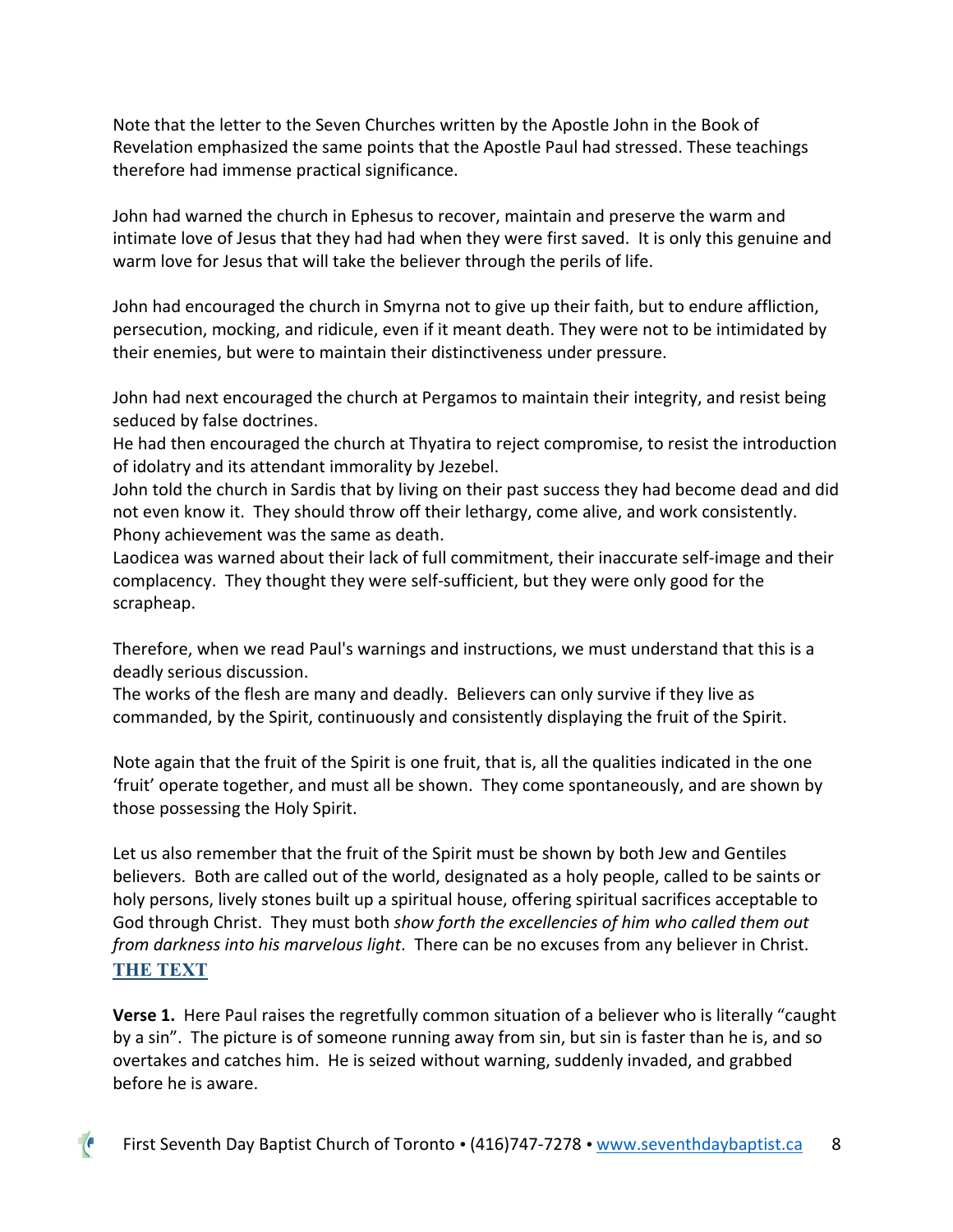Note that the letter to the Seven Churches written by the Apostle John in the Book of Revelation emphasized the same points that the Apostle Paul had stressed. These teachings therefore had immense practical significance.

John had warned the church in Ephesus to recover, maintain and preserve the warm and intimate love of Jesus that they had had when they were first saved. It is only this genuine and warm love for Jesus that will take the believer through the perils of life.

John had encouraged the church in Smyrna not to give up their faith, but to endure affliction, persecution, mocking, and ridicule, even if it meant death. They were not to be intimidated by their enemies, but were to maintain their distinctiveness under pressure.

John had next encouraged the church at Pergamos to maintain their integrity, and resist being seduced by false doctrines.

He had then encouraged the church at Thyatira to reject compromise, to resist the introduction of idolatry and its attendant immorality by Jezebel.

John told the church in Sardis that by living on their past success they had become dead and did not even know it. They should throw off their lethargy, come alive, and work consistently. Phony achievement was the same as death.

Laodicea was warned about their lack of full commitment, their inaccurate self-image and their complacency. They thought they were self-sufficient, but they were only good for the scrapheap.

Therefore, when we read Paul's warnings and instructions, we must understand that this is a deadly serious discussion.

The works of the flesh are many and deadly. Believers can only survive if they live as commanded, by the Spirit, continuously and consistently displaying the fruit of the Spirit.

Note again that the fruit of the Spirit is one fruit, that is, all the qualities indicated in the one 'fruit' operate together, and must all be shown. They come spontaneously, and are shown by those possessing the Holy Spirit.

Let us also remember that the fruit of the Spirit must be shown by both Jew and Gentiles believers. Both are called out of the world, designated as a holy people, called to be saints or holy persons, lively stones built up a spiritual house, offering spiritual sacrifices acceptable to God through Christ. They must both *show forth the excellencies of him who called them out from darkness into his marvelous light*. There can be no excuses from any believer in Christ. **THE TEXT**

**Verse 1.** Here Paul raises the regretfully common situation of a believer who is literally "caught by a sin". The picture is of someone running away from sin, but sin is faster than he is, and so overtakes and catches him. He is seized without warning, suddenly invaded, and grabbed before he is aware.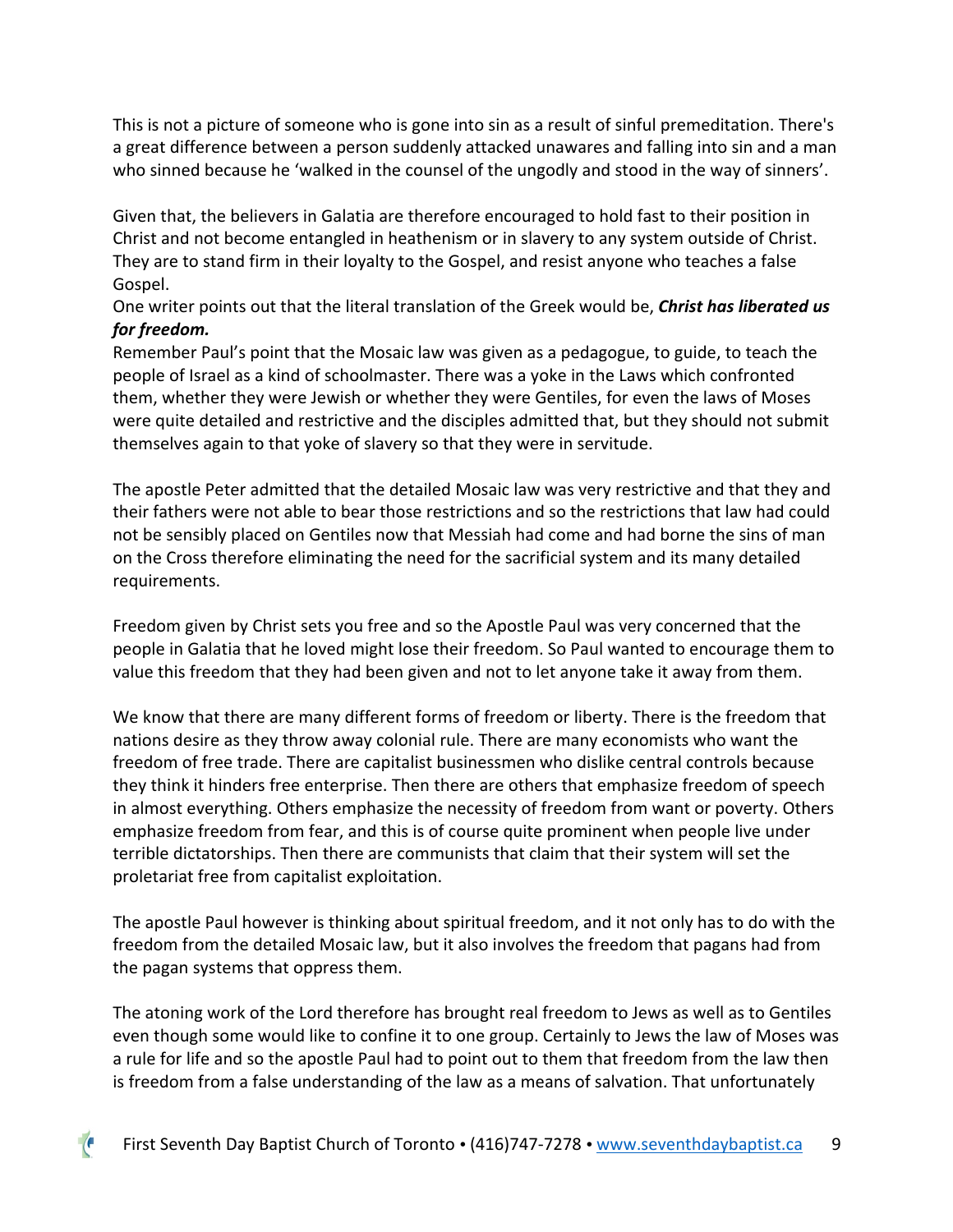This is not a picture of someone who is gone into sin as a result of sinful premeditation. There's a great difference between a person suddenly attacked unawares and falling into sin and a man who sinned because he 'walked in the counsel of the ungodly and stood in the way of sinners'.

Given that, the believers in Galatia are therefore encouraged to hold fast to their position in Christ and not become entangled in heathenism or in slavery to any system outside of Christ. They are to stand firm in their loyalty to the Gospel, and resist anyone who teaches a false Gospel.

One writer points out that the literal translation of the Greek would be, *Christ has liberated us for freedom.*

Remember Paul's point that the Mosaic law was given as a pedagogue, to guide, to teach the people of Israel as a kind of schoolmaster. There was a yoke in the Laws which confronted them, whether they were Jewish or whether they were Gentiles, for even the laws of Moses were quite detailed and restrictive and the disciples admitted that, but they should not submit themselves again to that yoke of slavery so that they were in servitude.

The apostle Peter admitted that the detailed Mosaic law was very restrictive and that they and their fathers were not able to bear those restrictions and so the restrictions that law had could not be sensibly placed on Gentiles now that Messiah had come and had borne the sins of man on the Cross therefore eliminating the need for the sacrificial system and its many detailed requirements.

Freedom given by Christ sets you free and so the Apostle Paul was very concerned that the people in Galatia that he loved might lose their freedom. So Paul wanted to encourage them to value this freedom that they had been given and not to let anyone take it away from them.

We know that there are many different forms of freedom or liberty. There is the freedom that nations desire as they throw away colonial rule. There are many economists who want the freedom of free trade. There are capitalist businessmen who dislike central controls because they think it hinders free enterprise. Then there are others that emphasize freedom of speech in almost everything. Others emphasize the necessity of freedom from want or poverty. Others emphasize freedom from fear, and this is of course quite prominent when people live under terrible dictatorships. Then there are communists that claim that their system will set the proletariat free from capitalist exploitation.

The apostle Paul however is thinking about spiritual freedom, and it not only has to do with the freedom from the detailed Mosaic law, but it also involves the freedom that pagans had from the pagan systems that oppress them.

The atoning work of the Lord therefore has brought real freedom to Jews as well as to Gentiles even though some would like to confine it to one group. Certainly to Jews the law of Moses was a rule for life and so the apostle Paul had to point out to them that freedom from the law then is freedom from a false understanding of the law as a means of salvation. That unfortunately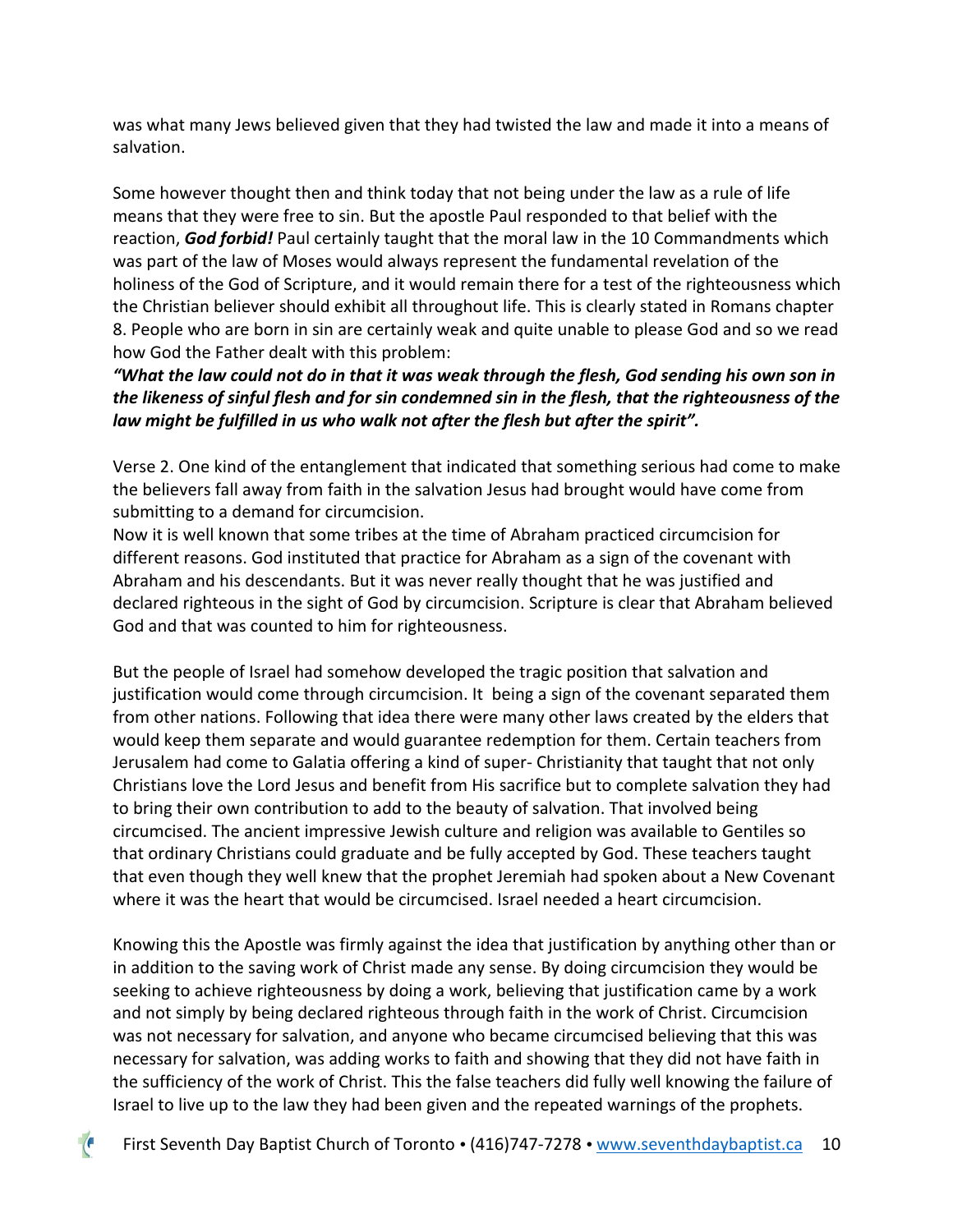was what many Jews believed given that they had twisted the law and made it into a means of salvation.

Some however thought then and think today that not being under the law as a rule of life means that they were free to sin. But the apostle Paul responded to that belief with the reaction, *God forbid!* Paul certainly taught that the moral law in the 10 Commandments which was part of the law of Moses would always represent the fundamental revelation of the holiness of the God of Scripture, and it would remain there for a test of the righteousness which the Christian believer should exhibit all throughout life. This is clearly stated in Romans chapter 8. People who are born in sin are certainly weak and quite unable to please God and so we read how God the Father dealt with this problem:

*"What the law could not do in that it was weak through the flesh, God sending his own son in the likeness of sinful flesh and for sin condemned sin in the flesh, that the righteousness of the law might be fulfilled in us who walk not after the flesh but after the spirit".*

Verse 2. One kind of the entanglement that indicated that something serious had come to make the believers fall away from faith in the salvation Jesus had brought would have come from submitting to a demand for circumcision.

Now it is well known that some tribes at the time of Abraham practiced circumcision for different reasons. God instituted that practice for Abraham as a sign of the covenant with Abraham and his descendants. But it was never really thought that he was justified and declared righteous in the sight of God by circumcision. Scripture is clear that Abraham believed God and that was counted to him for righteousness.

But the people of Israel had somehow developed the tragic position that salvation and justification would come through circumcision. It being a sign of the covenant separated them from other nations. Following that idea there were many other laws created by the elders that would keep them separate and would guarantee redemption for them. Certain teachers from Jerusalem had come to Galatia offering a kind of super- Christianity that taught that not only Christians love the Lord Jesus and benefit from His sacrifice but to complete salvation they had to bring their own contribution to add to the beauty of salvation. That involved being circumcised. The ancient impressive Jewish culture and religion was available to Gentiles so that ordinary Christians could graduate and be fully accepted by God. These teachers taught that even though they well knew that the prophet Jeremiah had spoken about a New Covenant where it was the heart that would be circumcised. Israel needed a heart circumcision.

Knowing this the Apostle was firmly against the idea that justification by anything other than or in addition to the saving work of Christ made any sense. By doing circumcision they would be seeking to achieve righteousness by doing a work, believing that justification came by a work and not simply by being declared righteous through faith in the work of Christ. Circumcision was not necessary for salvation, and anyone who became circumcised believing that this was necessary for salvation, was adding works to faith and showing that they did not have faith in the sufficiency of the work of Christ. This the false teachers did fully well knowing the failure of Israel to live up to the law they had been given and the repeated warnings of the prophets.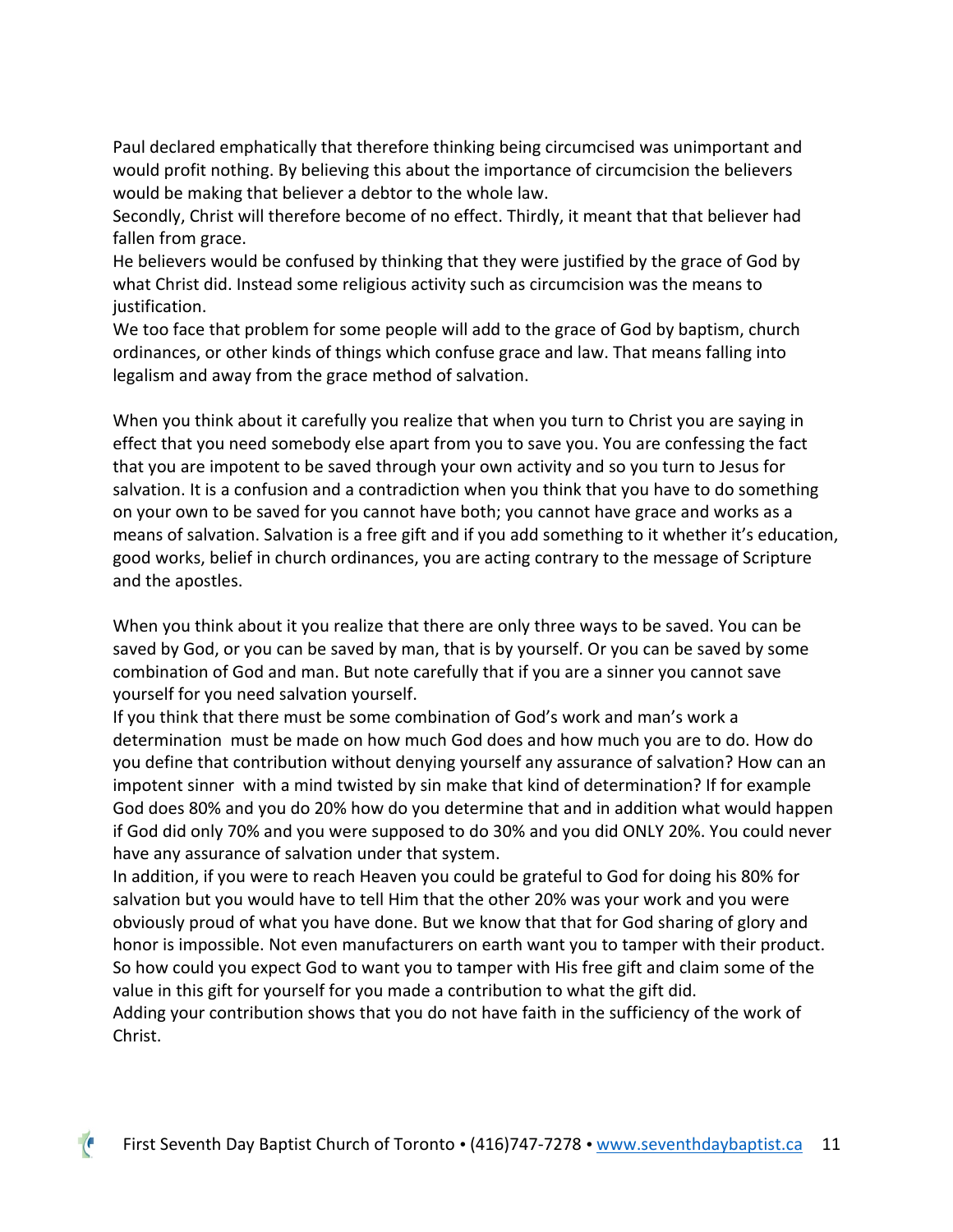Paul declared emphatically that therefore thinking being circumcised was unimportant and would profit nothing. By believing this about the importance of circumcision the believers would be making that believer a debtor to the whole law.

Secondly, Christ will therefore become of no effect. Thirdly, it meant that that believer had fallen from grace.

He believers would be confused by thinking that they were justified by the grace of God by what Christ did. Instead some religious activity such as circumcision was the means to justification.

We too face that problem for some people will add to the grace of God by baptism, church ordinances, or other kinds of things which confuse grace and law. That means falling into legalism and away from the grace method of salvation.

When you think about it carefully you realize that when you turn to Christ you are saying in effect that you need somebody else apart from you to save you. You are confessing the fact that you are impotent to be saved through your own activity and so you turn to Jesus for salvation. It is a confusion and a contradiction when you think that you have to do something on your own to be saved for you cannot have both; you cannot have grace and works as a means of salvation. Salvation is a free gift and if you add something to it whether it's education, good works, belief in church ordinances, you are acting contrary to the message of Scripture and the apostles.

When you think about it you realize that there are only three ways to be saved. You can be saved by God, or you can be saved by man, that is by yourself. Or you can be saved by some combination of God and man. But note carefully that if you are a sinner you cannot save yourself for you need salvation yourself.

If you think that there must be some combination of God's work and man's work a determination must be made on how much God does and how much you are to do. How do you define that contribution without denying yourself any assurance of salvation? How can an impotent sinner with a mind twisted by sin make that kind of determination? If for example God does 80% and you do 20% how do you determine that and in addition what would happen if God did only 70% and you were supposed to do 30% and you did ONLY 20%. You could never have any assurance of salvation under that system.

In addition, if you were to reach Heaven you could be grateful to God for doing his 80% for salvation but you would have to tell Him that the other 20% was your work and you were obviously proud of what you have done. But we know that that for God sharing of glory and honor is impossible. Not even manufacturers on earth want you to tamper with their product. So how could you expect God to want you to tamper with His free gift and claim some of the value in this gift for yourself for you made a contribution to what the gift did.

Adding your contribution shows that you do not have faith in the sufficiency of the work of Christ.

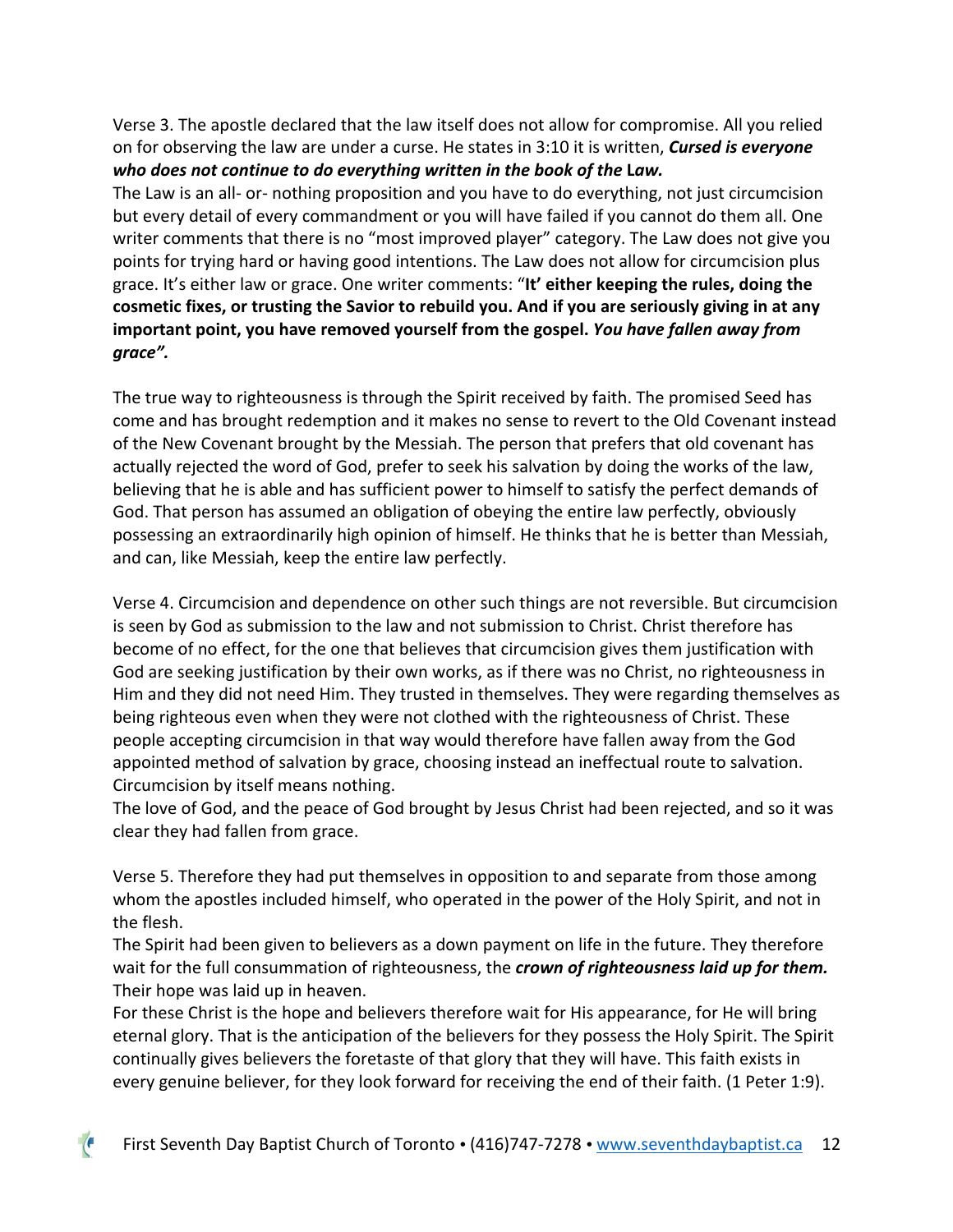Verse 3. The apostle declared that the law itself does not allow for compromise. All you relied on for observing the law are under a curse. He states in 3:10 it is written, *Cursed is everyone who does not continue to do everything written in the book of the* **L***aw.*

The Law is an all- or- nothing proposition and you have to do everything, not just circumcision but every detail of every commandment or you will have failed if you cannot do them all. One writer comments that there is no "most improved player" category. The Law does not give you points for trying hard or having good intentions. The Law does not allow for circumcision plus grace. It's either law or grace. One writer comments: "**It' either keeping the rules, doing the cosmetic fixes, or trusting the Savior to rebuild you. And if you are seriously giving in at any important point, you have removed yourself from the gospel.** *You have fallen away from grace".*

The true way to righteousness is through the Spirit received by faith. The promised Seed has come and has brought redemption and it makes no sense to revert to the Old Covenant instead of the New Covenant brought by the Messiah. The person that prefers that old covenant has actually rejected the word of God, prefer to seek his salvation by doing the works of the law, believing that he is able and has sufficient power to himself to satisfy the perfect demands of God. That person has assumed an obligation of obeying the entire law perfectly, obviously possessing an extraordinarily high opinion of himself. He thinks that he is better than Messiah, and can, like Messiah, keep the entire law perfectly.

Verse 4. Circumcision and dependence on other such things are not reversible. But circumcision is seen by God as submission to the law and not submission to Christ. Christ therefore has become of no effect, for the one that believes that circumcision gives them justification with God are seeking justification by their own works, as if there was no Christ, no righteousness in Him and they did not need Him. They trusted in themselves. They were regarding themselves as being righteous even when they were not clothed with the righteousness of Christ. These people accepting circumcision in that way would therefore have fallen away from the God appointed method of salvation by grace, choosing instead an ineffectual route to salvation. Circumcision by itself means nothing.

The love of God, and the peace of God brought by Jesus Christ had been rejected, and so it was clear they had fallen from grace.

Verse 5. Therefore they had put themselves in opposition to and separate from those among whom the apostles included himself, who operated in the power of the Holy Spirit, and not in the flesh.

The Spirit had been given to believers as a down payment on life in the future. They therefore wait for the full consummation of righteousness, the *crown of righteousness laid up for them.*  Their hope was laid up in heaven.

For these Christ is the hope and believers therefore wait for His appearance, for He will bring eternal glory. That is the anticipation of the believers for they possess the Holy Spirit. The Spirit continually gives believers the foretaste of that glory that they will have. This faith exists in every genuine believer, for they look forward for receiving the end of their faith. (1 Peter 1:9).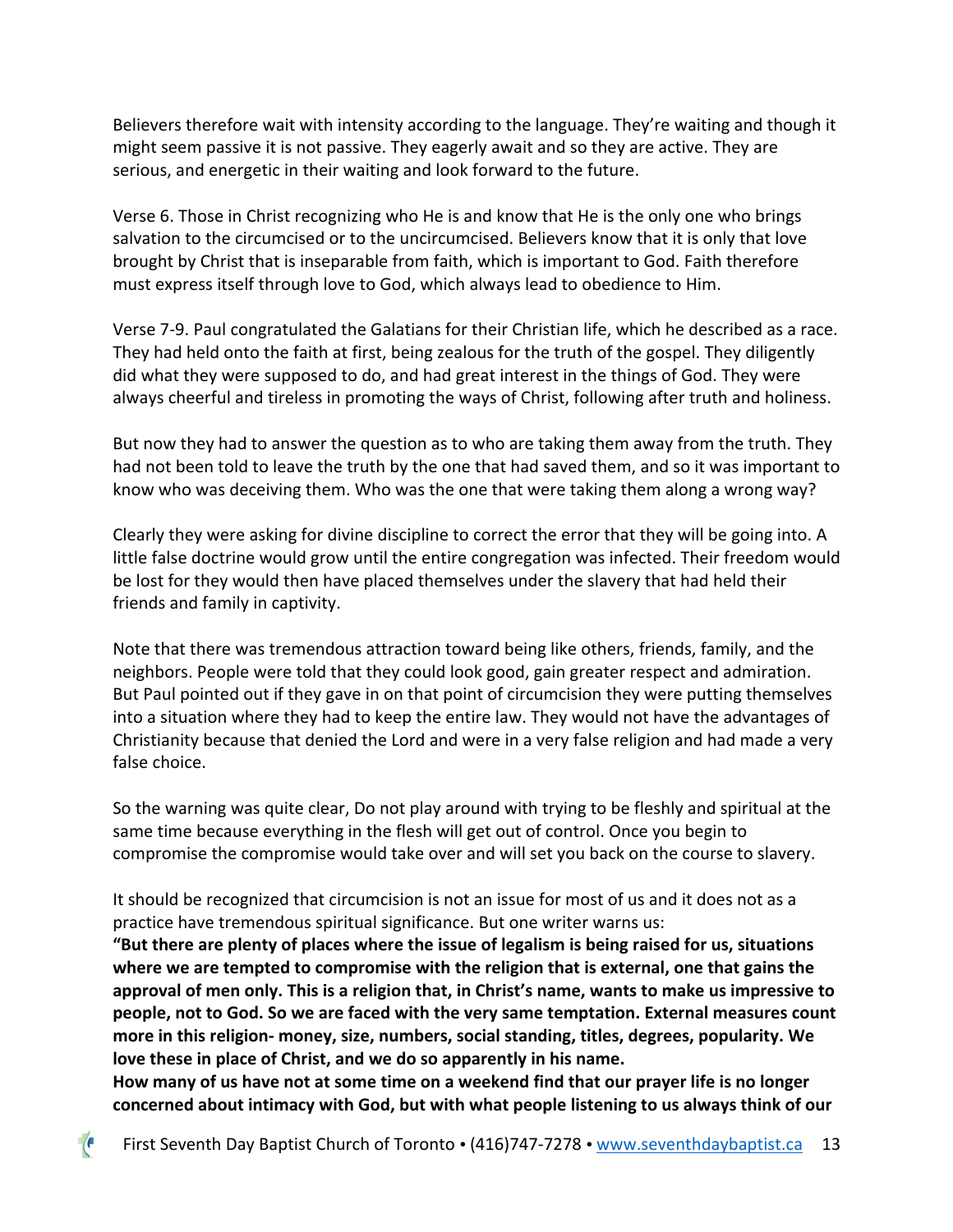Believers therefore wait with intensity according to the language. They're waiting and though it might seem passive it is not passive. They eagerly await and so they are active. They are serious, and energetic in their waiting and look forward to the future.

Verse 6. Those in Christ recognizing who He is and know that He is the only one who brings salvation to the circumcised or to the uncircumcised. Believers know that it is only that love brought by Christ that is inseparable from faith, which is important to God. Faith therefore must express itself through love to God, which always lead to obedience to Him.

Verse 7-9. Paul congratulated the Galatians for their Christian life, which he described as a race. They had held onto the faith at first, being zealous for the truth of the gospel. They diligently did what they were supposed to do, and had great interest in the things of God. They were always cheerful and tireless in promoting the ways of Christ, following after truth and holiness.

But now they had to answer the question as to who are taking them away from the truth. They had not been told to leave the truth by the one that had saved them, and so it was important to know who was deceiving them. Who was the one that were taking them along a wrong way?

Clearly they were asking for divine discipline to correct the error that they will be going into. A little false doctrine would grow until the entire congregation was infected. Their freedom would be lost for they would then have placed themselves under the slavery that had held their friends and family in captivity.

Note that there was tremendous attraction toward being like others, friends, family, and the neighbors. People were told that they could look good, gain greater respect and admiration. But Paul pointed out if they gave in on that point of circumcision they were putting themselves into a situation where they had to keep the entire law. They would not have the advantages of Christianity because that denied the Lord and were in a very false religion and had made a very false choice.

So the warning was quite clear, Do not play around with trying to be fleshly and spiritual at the same time because everything in the flesh will get out of control. Once you begin to compromise the compromise would take over and will set you back on the course to slavery.

It should be recognized that circumcision is not an issue for most of us and it does not as a practice have tremendous spiritual significance. But one writer warns us:

**"But there are plenty of places where the issue of legalism is being raised for us, situations where we are tempted to compromise with the religion that is external, one that gains the approval of men only. This is a religion that, in Christ's name, wants to make us impressive to people, not to God. So we are faced with the very same temptation. External measures count more in this religion- money, size, numbers, social standing, titles, degrees, popularity. We love these in place of Christ, and we do so apparently in his name.**

**How many of us have not at some time on a weekend find that our prayer life is no longer concerned about intimacy with God, but with what people listening to us always think of our**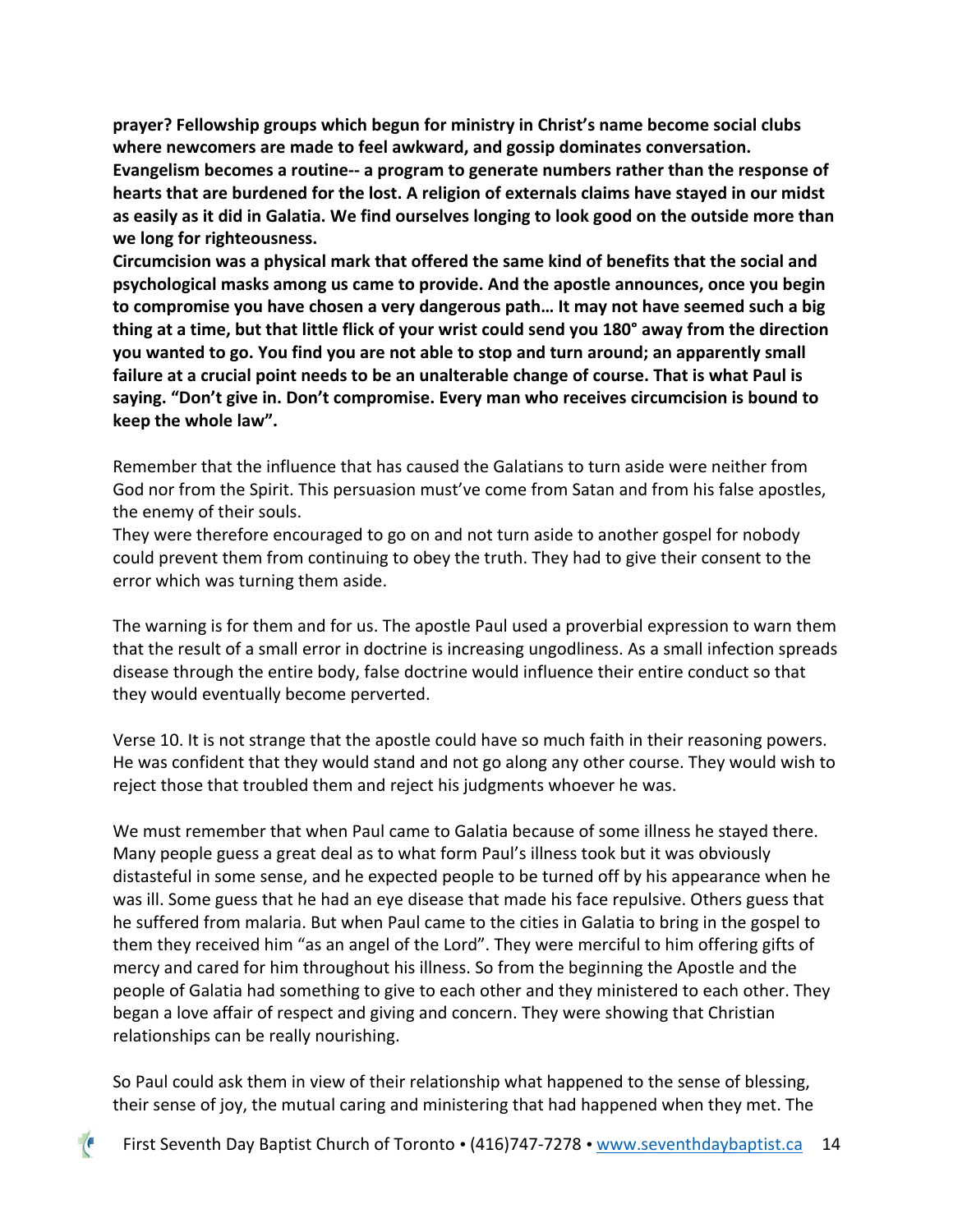**prayer? Fellowship groups which begun for ministry in Christ's name become social clubs where newcomers are made to feel awkward, and gossip dominates conversation. Evangelism becomes a routine-- a program to generate numbers rather than the response of hearts that are burdened for the lost. A religion of externals claims have stayed in our midst as easily as it did in Galatia. We find ourselves longing to look good on the outside more than we long for righteousness.** 

**Circumcision was a physical mark that offered the same kind of benefits that the social and psychological masks among us came to provide. And the apostle announces, once you begin to compromise you have chosen a very dangerous path… It may not have seemed such a big thing at a time, but that little flick of your wrist could send you 180° away from the direction you wanted to go. You find you are not able to stop and turn around; an apparently small failure at a crucial point needs to be an unalterable change of course. That is what Paul is saying. "Don't give in. Don't compromise. Every man who receives circumcision is bound to keep the whole law".**

Remember that the influence that has caused the Galatians to turn aside were neither from God nor from the Spirit. This persuasion must've come from Satan and from his false apostles, the enemy of their souls.

They were therefore encouraged to go on and not turn aside to another gospel for nobody could prevent them from continuing to obey the truth. They had to give their consent to the error which was turning them aside.

The warning is for them and for us. The apostle Paul used a proverbial expression to warn them that the result of a small error in doctrine is increasing ungodliness. As a small infection spreads disease through the entire body, false doctrine would influence their entire conduct so that they would eventually become perverted.

Verse 10. It is not strange that the apostle could have so much faith in their reasoning powers. He was confident that they would stand and not go along any other course. They would wish to reject those that troubled them and reject his judgments whoever he was.

We must remember that when Paul came to Galatia because of some illness he stayed there. Many people guess a great deal as to what form Paul's illness took but it was obviously distasteful in some sense, and he expected people to be turned off by his appearance when he was ill. Some guess that he had an eye disease that made his face repulsive. Others guess that he suffered from malaria. But when Paul came to the cities in Galatia to bring in the gospel to them they received him "as an angel of the Lord". They were merciful to him offering gifts of mercy and cared for him throughout his illness. So from the beginning the Apostle and the people of Galatia had something to give to each other and they ministered to each other. They began a love affair of respect and giving and concern. They were showing that Christian relationships can be really nourishing.

So Paul could ask them in view of their relationship what happened to the sense of blessing, their sense of joy, the mutual caring and ministering that had happened when they met. The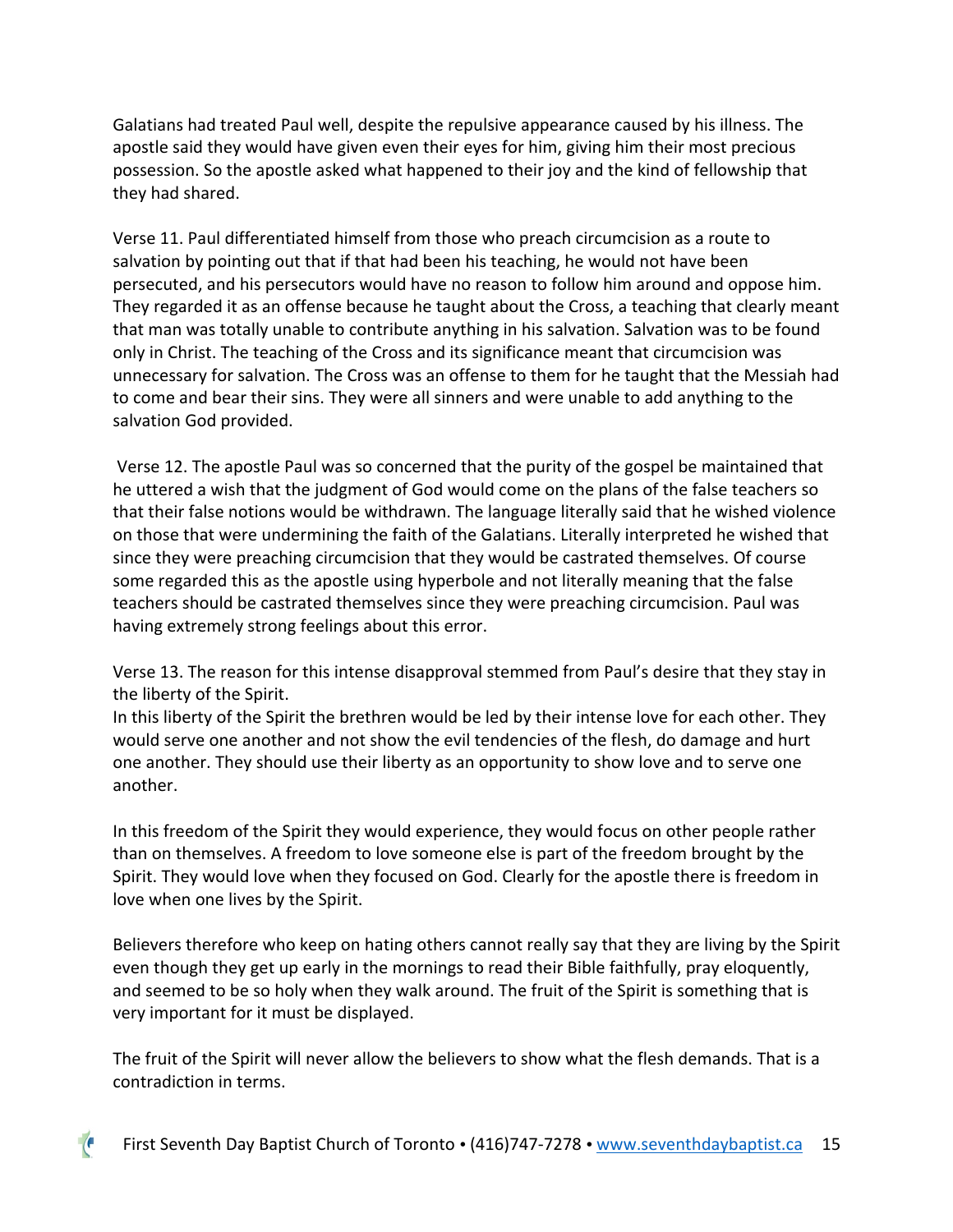Galatians had treated Paul well, despite the repulsive appearance caused by his illness. The apostle said they would have given even their eyes for him, giving him their most precious possession. So the apostle asked what happened to their joy and the kind of fellowship that they had shared.

Verse 11. Paul differentiated himself from those who preach circumcision as a route to salvation by pointing out that if that had been his teaching, he would not have been persecuted, and his persecutors would have no reason to follow him around and oppose him. They regarded it as an offense because he taught about the Cross, a teaching that clearly meant that man was totally unable to contribute anything in his salvation. Salvation was to be found only in Christ. The teaching of the Cross and its significance meant that circumcision was unnecessary for salvation. The Cross was an offense to them for he taught that the Messiah had to come and bear their sins. They were all sinners and were unable to add anything to the salvation God provided.

Verse 12. The apostle Paul was so concerned that the purity of the gospel be maintained that he uttered a wish that the judgment of God would come on the plans of the false teachers so that their false notions would be withdrawn. The language literally said that he wished violence on those that were undermining the faith of the Galatians. Literally interpreted he wished that since they were preaching circumcision that they would be castrated themselves. Of course some regarded this as the apostle using hyperbole and not literally meaning that the false teachers should be castrated themselves since they were preaching circumcision. Paul was having extremely strong feelings about this error.

Verse 13. The reason for this intense disapproval stemmed from Paul's desire that they stay in the liberty of the Spirit.

In this liberty of the Spirit the brethren would be led by their intense love for each other. They would serve one another and not show the evil tendencies of the flesh, do damage and hurt one another. They should use their liberty as an opportunity to show love and to serve one another.

In this freedom of the Spirit they would experience, they would focus on other people rather than on themselves. A freedom to love someone else is part of the freedom brought by the Spirit. They would love when they focused on God. Clearly for the apostle there is freedom in love when one lives by the Spirit.

Believers therefore who keep on hating others cannot really say that they are living by the Spirit even though they get up early in the mornings to read their Bible faithfully, pray eloquently, and seemed to be so holy when they walk around. The fruit of the Spirit is something that is very important for it must be displayed.

The fruit of the Spirit will never allow the believers to show what the flesh demands. That is a contradiction in terms.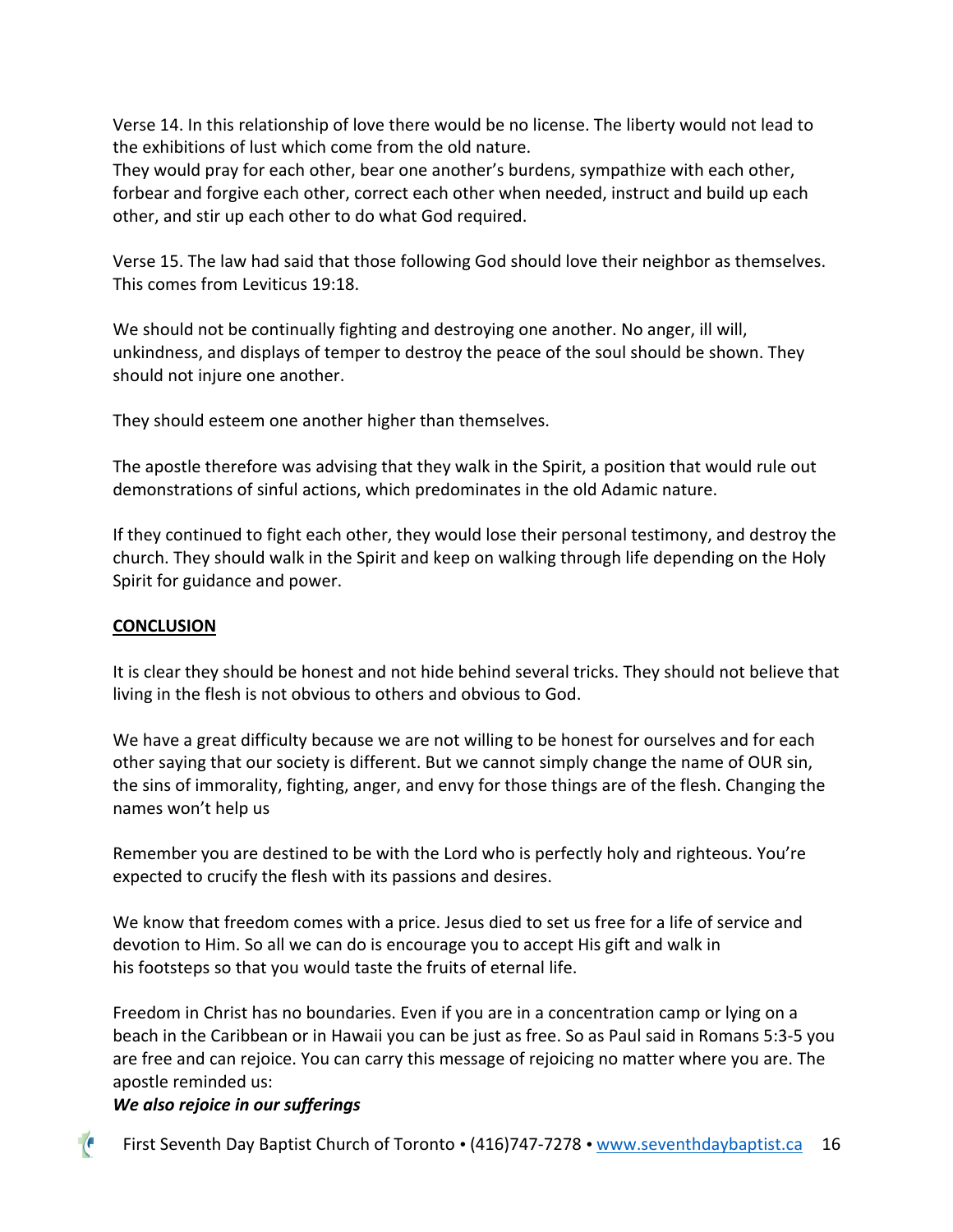Verse 14. In this relationship of love there would be no license. The liberty would not lead to the exhibitions of lust which come from the old nature.

They would pray for each other, bear one another's burdens, sympathize with each other, forbear and forgive each other, correct each other when needed, instruct and build up each other, and stir up each other to do what God required.

Verse 15. The law had said that those following God should love their neighbor as themselves. This comes from Leviticus 19:18.

We should not be continually fighting and destroying one another. No anger, ill will, unkindness, and displays of temper to destroy the peace of the soul should be shown. They should not injure one another.

They should esteem one another higher than themselves.

The apostle therefore was advising that they walk in the Spirit, a position that would rule out demonstrations of sinful actions, which predominates in the old Adamic nature.

If they continued to fight each other, they would lose their personal testimony, and destroy the church. They should walk in the Spirit and keep on walking through life depending on the Holy Spirit for guidance and power.

## **CONCLUSION**

It is clear they should be honest and not hide behind several tricks. They should not believe that living in the flesh is not obvious to others and obvious to God.

We have a great difficulty because we are not willing to be honest for ourselves and for each other saying that our society is different. But we cannot simply change the name of OUR sin, the sins of immorality, fighting, anger, and envy for those things are of the flesh. Changing the names won't help us

Remember you are destined to be with the Lord who is perfectly holy and righteous. You're expected to crucify the flesh with its passions and desires.

We know that freedom comes with a price. Jesus died to set us free for a life of service and devotion to Him. So all we can do is encourage you to accept His gift and walk in his footsteps so that you would taste the fruits of eternal life.

Freedom in Christ has no boundaries. Even if you are in a concentration camp or lying on a beach in the Caribbean or in Hawaii you can be just as free. So as Paul said in Romans 5:3-5 you are free and can rejoice. You can carry this message of rejoicing no matter where you are. The apostle reminded us:

## *We also rejoice in our sufferings*